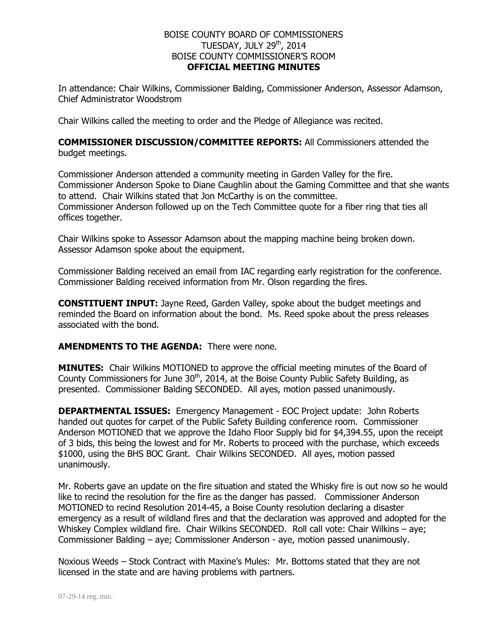## BOISE COUNTY BOARD OF COMMISSIONERS TUESDAY, JULY 29<sup>th</sup>, 2014 BOISE COUNTY COMMISSIONER'S ROOM **OFFICIAL MEETING MINUTES**

In attendance: Chair Wilkins, Commissioner Balding, Commissioner Anderson, Assessor Adamson, Chief Administrator Woodstrom

Chair Wilkins called the meeting to order and the Pledge of Allegiance was recited.

## **COMMISSIONER DISCUSSION/COMMITTEE REPORTS:** All Commissioners attended the budget meetings.

Commissioner Anderson attended a community meeting in Garden Valley for the fire. Commissioner Anderson Spoke to Diane Caughlin about the Gaming Committee and that she wants to attend. Chair Wilkins stated that Jon McCarthy is on the committee. Commissioner Anderson followed up on the Tech Committee quote for a fiber ring that ties all offices together.

Chair Wilkins spoke to Assessor Adamson about the mapping machine being broken down. Assessor Adamson spoke about the equipment.

Commissioner Balding received an email from IAC regarding early registration for the conference. Commissioner Balding received information from Mr. Olson regarding the fires.

**CONSTITUENT INPUT:** Jayne Reed, Garden Valley, spoke about the budget meetings and reminded the Board on information about the bond. Ms. Reed spoke about the press releases associated with the bond.

## **AMENDMENTS TO THE AGENDA:** There were none.

**MINUTES:** Chair Wilkins MOTIONED to approve the official meeting minutes of the Board of County Commissioners for June  $30<sup>th</sup>$ , 2014, at the Boise County Public Safety Building, as presented. Commissioner Balding SECONDED. All ayes, motion passed unanimously.

**DEPARTMENTAL ISSUES:** Emergency Management - EOC Project update: John Roberts handed out quotes for carpet of the Public Safety Building conference room. Commissioner Anderson MOTIONED that we approve the Idaho Floor Supply bid for \$4,394.55, upon the receipt of 3 bids, this being the lowest and for Mr. Roberts to proceed with the purchase, which exceeds \$1000, using the BHS BOC Grant. Chair Wilkins SECONDED. All ayes, motion passed unanimously.

Mr. Roberts gave an update on the fire situation and stated the Whisky fire is out now so he would like to recind the resolution for the fire as the danger has passed. Commissioner Anderson MOTIONED to recind Resolution 2014-45, a Boise County resolution declaring a disaster emergency as a result of wildland fires and that the declaration was approved and adopted for the Whiskey Complex wildland fire. Chair Wilkins SECONDED. Roll call vote: Chair Wilkins – aye; Commissioner Balding – aye; Commissioner Anderson - aye, motion passed unanimously.

Noxious Weeds – Stock Contract with Maxine's Mules: Mr. Bottoms stated that they are not licensed in the state and are having problems with partners.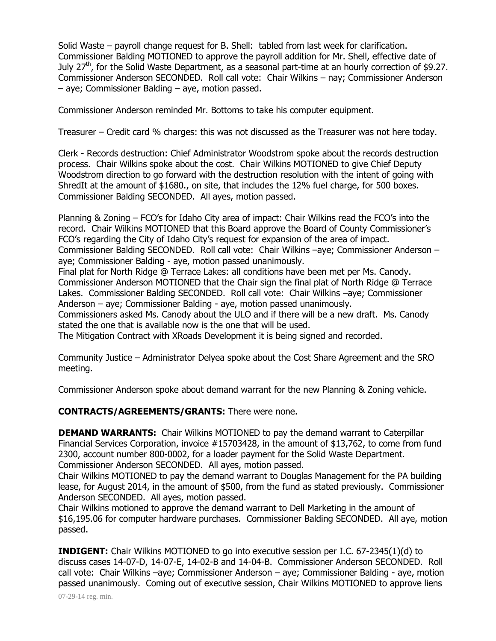Solid Waste – payroll change request for B. Shell: tabled from last week for clarification. Commissioner Balding MOTIONED to approve the payroll addition for Mr. Shell, effective date of July  $27<sup>th</sup>$ , for the Solid Waste Department, as a seasonal part-time at an hourly correction of \$9.27. Commissioner Anderson SECONDED. Roll call vote: Chair Wilkins – nay; Commissioner Anderson – aye; Commissioner Balding – aye, motion passed.

Commissioner Anderson reminded Mr. Bottoms to take his computer equipment.

Treasurer – Credit card % charges: this was not discussed as the Treasurer was not here today.

Clerk - Records destruction: Chief Administrator Woodstrom spoke about the records destruction process. Chair Wilkins spoke about the cost. Chair Wilkins MOTIONED to give Chief Deputy Woodstrom direction to go forward with the destruction resolution with the intent of going with ShredIt at the amount of \$1680., on site, that includes the 12% fuel charge, for 500 boxes. Commissioner Balding SECONDED. All ayes, motion passed.

Planning & Zoning – FCO's for Idaho City area of impact: Chair Wilkins read the FCO's into the record. Chair Wilkins MOTIONED that this Board approve the Board of County Commissioner's FCO's regarding the City of Idaho City's request for expansion of the area of impact. Commissioner Balding SECONDED. Roll call vote: Chair Wilkins –aye; Commissioner Anderson – aye; Commissioner Balding - aye, motion passed unanimously.

Final plat for North Ridge @ Terrace Lakes: all conditions have been met per Ms. Canody. Commissioner Anderson MOTIONED that the Chair sign the final plat of North Ridge @ Terrace Lakes. Commissioner Balding SECONDED. Roll call vote: Chair Wilkins –aye; Commissioner Anderson – aye; Commissioner Balding - aye, motion passed unanimously.

Commissioners asked Ms. Canody about the ULO and if there will be a new draft. Ms. Canody stated the one that is available now is the one that will be used.

The Mitigation Contract with XRoads Development it is being signed and recorded.

Community Justice – Administrator Delyea spoke about the Cost Share Agreement and the SRO meeting.

Commissioner Anderson spoke about demand warrant for the new Planning & Zoning vehicle.

**CONTRACTS/AGREEMENTS/GRANTS:** There were none.

**DEMAND WARRANTS:** Chair Wilkins MOTIONED to pay the demand warrant to Caterpillar Financial Services Corporation, invoice #15703428, in the amount of \$13,762, to come from fund 2300, account number 800-0002, for a loader payment for the Solid Waste Department. Commissioner Anderson SECONDED. All ayes, motion passed.

Chair Wilkins MOTIONED to pay the demand warrant to Douglas Management for the PA building lease, for August 2014, in the amount of \$500, from the fund as stated previously. Commissioner Anderson SECONDED. All ayes, motion passed.

Chair Wilkins motioned to approve the demand warrant to Dell Marketing in the amount of \$16,195.06 for computer hardware purchases. Commissioner Balding SECONDED. All aye, motion passed.

**INDIGENT:** Chair Wilkins MOTIONED to go into executive session per I.C. 67-2345(1)(d) to discuss cases 14-07-D, 14-07-E, 14-02-B and 14-04-B. Commissioner Anderson SECONDED. Roll call vote: Chair Wilkins –aye; Commissioner Anderson – aye; Commissioner Balding - aye, motion passed unanimously. Coming out of executive session, Chair Wilkins MOTIONED to approve liens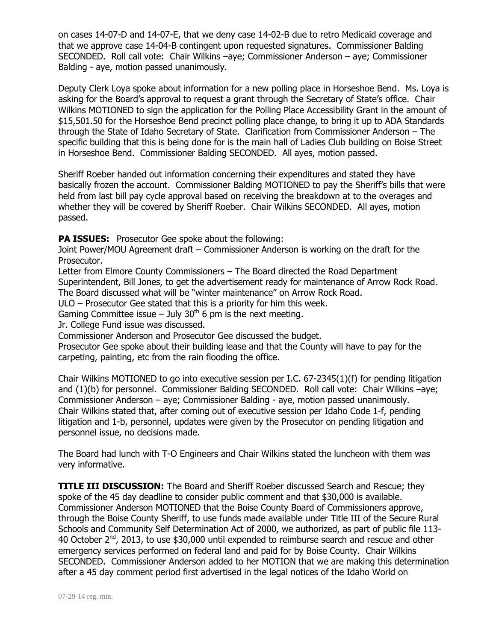on cases 14-07-D and 14-07-E, that we deny case 14-02-B due to retro Medicaid coverage and that we approve case 14-04-B contingent upon requested signatures. Commissioner Balding SECONDED. Roll call vote: Chair Wilkins –aye; Commissioner Anderson – aye; Commissioner Balding - aye, motion passed unanimously.

Deputy Clerk Loya spoke about information for a new polling place in Horseshoe Bend. Ms. Loya is asking for the Board's approval to request a grant through the Secretary of State's office. Chair Wilkins MOTIONED to sign the application for the Polling Place Accessibility Grant in the amount of \$15,501.50 for the Horseshoe Bend precinct polling place change, to bring it up to ADA Standards through the State of Idaho Secretary of State. Clarification from Commissioner Anderson – The specific building that this is being done for is the main hall of Ladies Club building on Boise Street in Horseshoe Bend. Commissioner Balding SECONDED. All ayes, motion passed.

Sheriff Roeber handed out information concerning their expenditures and stated they have basically frozen the account. Commissioner Balding MOTIONED to pay the Sheriff's bills that were held from last bill pay cycle approval based on receiving the breakdown at to the overages and whether they will be covered by Sheriff Roeber. Chair Wilkins SECONDED. All ayes, motion passed.

**PA ISSUES:** Prosecutor Gee spoke about the following:

Joint Power/MOU Agreement draft – Commissioner Anderson is working on the draft for the Prosecutor.

Letter from Elmore County Commissioners – The Board directed the Road Department Superintendent, Bill Jones, to get the advertisement ready for maintenance of Arrow Rock Road. The Board discussed what will be "winter maintenance" on Arrow Rock Road.

ULO – Prosecutor Gee stated that this is a priority for him this week.

Gaming Committee issue – July  $30<sup>th</sup>$  6 pm is the next meeting.

Jr. College Fund issue was discussed.

Commissioner Anderson and Prosecutor Gee discussed the budget.

Prosecutor Gee spoke about their building lease and that the County will have to pay for the carpeting, painting, etc from the rain flooding the office.

Chair Wilkins MOTIONED to go into executive session per I.C. 67-2345(1)(f) for pending litigation and (1)(b) for personnel. Commissioner Balding SECONDED. Roll call vote: Chair Wilkins –aye; Commissioner Anderson – aye; Commissioner Balding - aye, motion passed unanimously. Chair Wilkins stated that, after coming out of executive session per Idaho Code 1-f, pending litigation and 1-b, personnel, updates were given by the Prosecutor on pending litigation and personnel issue, no decisions made.

The Board had lunch with T-O Engineers and Chair Wilkins stated the luncheon with them was very informative.

**TITLE III DISCUSSION:** The Board and Sheriff Roeber discussed Search and Rescue; they spoke of the 45 day deadline to consider public comment and that \$30,000 is available. Commissioner Anderson MOTIONED that the Boise County Board of Commissioners approve, through the Boise County Sheriff, to use funds made available under Title III of the Secure Rural Schools and Community Self Determination Act of 2000, we authorized, as part of public file 113- 40 October  $2^{nd}$ , 2013, to use \$30,000 until expended to reimburse search and rescue and other emergency services performed on federal land and paid for by Boise County. Chair Wilkins SECONDED. Commissioner Anderson added to her MOTION that we are making this determination after a 45 day comment period first advertised in the legal notices of the Idaho World on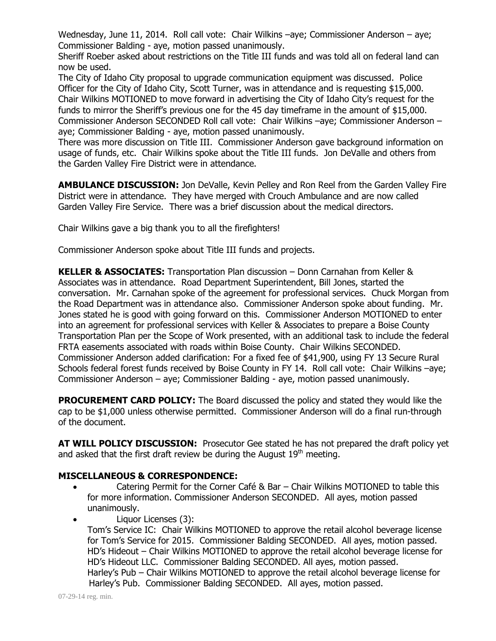Wednesday, June 11, 2014. Roll call vote: Chair Wilkins –aye; Commissioner Anderson – aye; Commissioner Balding - aye, motion passed unanimously.

Sheriff Roeber asked about restrictions on the Title III funds and was told all on federal land can now be used.

The City of Idaho City proposal to upgrade communication equipment was discussed. Police Officer for the City of Idaho City, Scott Turner, was in attendance and is requesting \$15,000. Chair Wilkins MOTIONED to move forward in advertising the City of Idaho City's request for the funds to mirror the Sheriff's previous one for the 45 day timeframe in the amount of \$15,000. Commissioner Anderson SECONDED Roll call vote: Chair Wilkins –aye; Commissioner Anderson – aye; Commissioner Balding - aye, motion passed unanimously.

There was more discussion on Title III. Commissioner Anderson gave background information on usage of funds, etc. Chair Wilkins spoke about the Title III funds. Jon DeValle and others from the Garden Valley Fire District were in attendance.

**AMBULANCE DISCUSSION:** Jon DeValle, Kevin Pelley and Ron Reel from the Garden Valley Fire District were in attendance. They have merged with Crouch Ambulance and are now called Garden Valley Fire Service. There was a brief discussion about the medical directors.

Chair Wilkins gave a big thank you to all the firefighters!

Commissioner Anderson spoke about Title III funds and projects.

**KELLER & ASSOCIATES:** Transportation Plan discussion – Donn Carnahan from Keller & Associates was in attendance. Road Department Superintendent, Bill Jones, started the conversation. Mr. Carnahan spoke of the agreement for professional services. Chuck Morgan from the Road Department was in attendance also. Commissioner Anderson spoke about funding. Mr. Jones stated he is good with going forward on this. Commissioner Anderson MOTIONED to enter into an agreement for professional services with Keller & Associates to prepare a Boise County Transportation Plan per the Scope of Work presented, with an additional task to include the federal FRTA easements associated with roads within Boise County. Chair Wilkins SECONDED. Commissioner Anderson added clarification: For a fixed fee of \$41,900, using FY 13 Secure Rural Schools federal forest funds received by Boise County in FY 14. Roll call vote: Chair Wilkins –aye; Commissioner Anderson – aye; Commissioner Balding - aye, motion passed unanimously.

**PROCUREMENT CARD POLICY:** The Board discussed the policy and stated they would like the cap to be \$1,000 unless otherwise permitted. Commissioner Anderson will do a final run-through of the document.

**AT WILL POLICY DISCUSSION:** Prosecutor Gee stated he has not prepared the draft policy yet and asked that the first draft review be during the August  $19<sup>th</sup>$  meeting.

## **MISCELLANEOUS & CORRESPONDENCE:**

- Catering Permit for the Corner Café & Bar Chair Wilkins MOTIONED to table this for more information. Commissioner Anderson SECONDED. All ayes, motion passed unanimously.
- Liquor Licenses (3): Tom's Service IC: Chair Wilkins MOTIONED to approve the retail alcohol beverage license for Tom's Service for 2015. Commissioner Balding SECONDED. All ayes, motion passed. HD's Hideout – Chair Wilkins MOTIONED to approve the retail alcohol beverage license for HD's Hideout LLC. Commissioner Balding SECONDED. All ayes, motion passed. Harley's Pub – Chair Wilkins MOTIONED to approve the retail alcohol beverage license for Harley's Pub. Commissioner Balding SECONDED. All ayes, motion passed.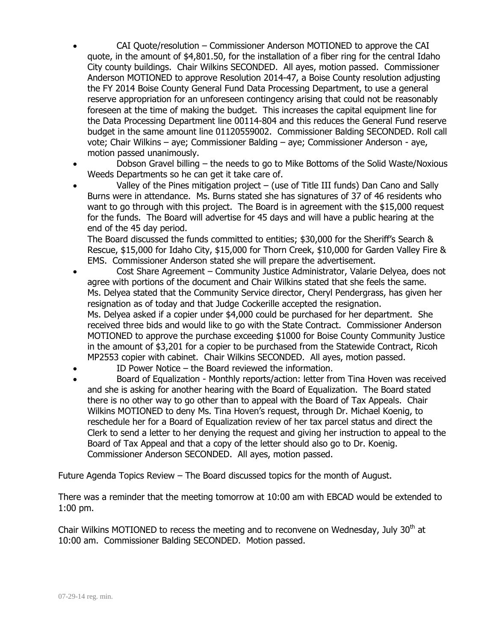- CAI Quote/resolution Commissioner Anderson MOTIONED to approve the CAI quote, in the amount of \$4,801.50, for the installation of a fiber ring for the central Idaho City county buildings. Chair Wilkins SECONDED. All ayes, motion passed. Commissioner Anderson MOTIONED to approve Resolution 2014-47, a Boise County resolution adjusting the FY 2014 Boise County General Fund Data Processing Department, to use a general reserve appropriation for an unforeseen contingency arising that could not be reasonably foreseen at the time of making the budget. This increases the capital equipment line for the Data Processing Department line 00114-804 and this reduces the General Fund reserve budget in the same amount line 01120559002. Commissioner Balding SECONDED. Roll call vote; Chair Wilkins – aye; Commissioner Balding – aye; Commissioner Anderson - aye, motion passed unanimously.
- Dobson Gravel billing the needs to go to Mike Bottoms of the Solid Waste/Noxious Weeds Departments so he can get it take care of.
- Valley of the Pines mitigation project (use of Title III funds) Dan Cano and Sally Burns were in attendance. Ms. Burns stated she has signatures of 37 of 46 residents who want to go through with this project. The Board is in agreement with the \$15,000 request for the funds. The Board will advertise for 45 days and will have a public hearing at the end of the 45 day period.

The Board discussed the funds committed to entities; \$30,000 for the Sheriff's Search & Rescue, \$15,000 for Idaho City, \$15,000 for Thorn Creek, \$10,000 for Garden Valley Fire & EMS. Commissioner Anderson stated she will prepare the advertisement.

- Cost Share Agreement Community Justice Administrator, Valarie Delyea, does not agree with portions of the document and Chair Wilkins stated that she feels the same. Ms. Delyea stated that the Community Service director, Cheryl Pendergrass, has given her resignation as of today and that Judge Cockerille accepted the resignation. Ms. Delyea asked if a copier under \$4,000 could be purchased for her department. She received three bids and would like to go with the State Contract. Commissioner Anderson MOTIONED to approve the purchase exceeding \$1000 for Boise County Community Justice in the amount of \$3,201 for a copier to be purchased from the Statewide Contract, Ricoh MP2553 copier with cabinet. Chair Wilkins SECONDED. All ayes, motion passed.
- ID Power Notice the Board reviewed the information.
- Board of Equalization Monthly reports/action: letter from Tina Hoven was received and she is asking for another hearing with the Board of Equalization. The Board stated there is no other way to go other than to appeal with the Board of Tax Appeals. Chair Wilkins MOTIONED to deny Ms. Tina Hoven's request, through Dr. Michael Koenig, to reschedule her for a Board of Equalization review of her tax parcel status and direct the Clerk to send a letter to her denying the request and giving her instruction to appeal to the Board of Tax Appeal and that a copy of the letter should also go to Dr. Koenig. Commissioner Anderson SECONDED. All ayes, motion passed.

Future Agenda Topics Review – The Board discussed topics for the month of August.

There was a reminder that the meeting tomorrow at 10:00 am with EBCAD would be extended to 1:00 pm.

Chair Wilkins MOTIONED to recess the meeting and to reconvene on Wednesday, July  $30<sup>th</sup>$  at 10:00 am. Commissioner Balding SECONDED. Motion passed.